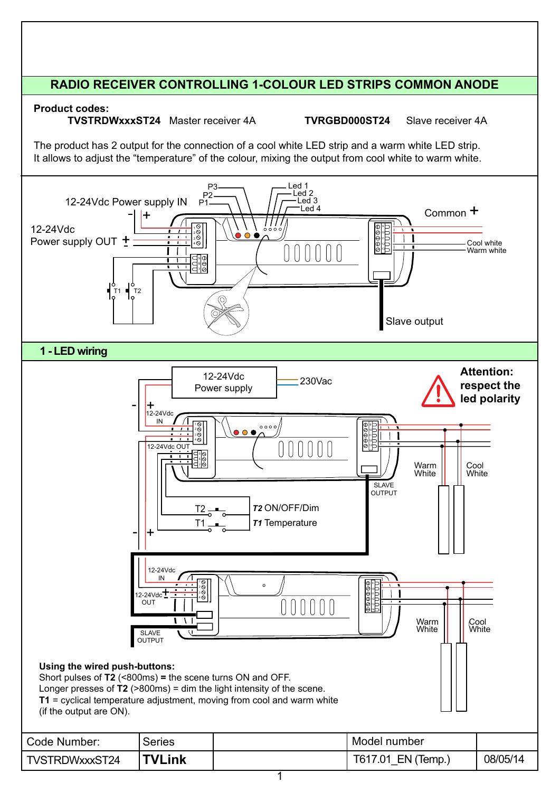# **RADIO RECEIVER CONTROLLING 1-COLOUR LED STRIPS COMMON ANODE**

**Product codes:**

**TVSTRDWxxxST24** Master receiver 4A **TVRGBD000ST24** Slave receiver 4A

The product has 2 output for the connection of a cool white LED strip and a warm white LED strip. It allows to adjust the "temperature" of the colour, mixing the output from cool white to warm white.

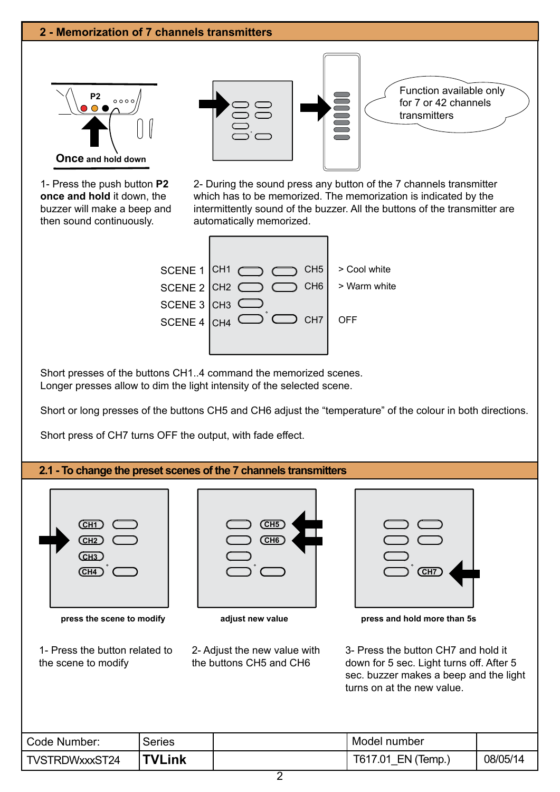

1- Press the push button **P2 once and hold** it down, the buzzer will make a beep and then sound continuously.

2- During the sound press any button of the 7 channels transmitter which has to be memorized. The memorization is indicated by the intermittently sound of the buzzer. All the buttons of the transmitter are automatically memorized.



Short presses of the buttons CH1..4 command the memorized scenes. Longer presses allow to dim the light intensity of the selected scene.

Short or long presses of the buttons CH5 and CH6 adjust the "temperature" of the colour in both directions.

Short press of CH7 turns OFF the output, with fade effect.

#### **2.1 - To change the preset scenes of the 7 channels transmitters**



- 1- Press the button related to the scene to modify
- **CH5 СН6**

2- Adjust the new value with the buttons CH5 and CH6



**press the scene to modify adjust new value press and hold more than 5s**

3- Press the button CH7 and hold it down for 5 sec. Light turns off. After 5 sec. buzzer makes a beep and the light turns on at the new value.

| Code Number:   | <b>Series</b> | Model number          |          |
|----------------|---------------|-----------------------|----------|
| TVSTRDWxxxST24 | <b>TVLink</b> | T617.01<br>EN (Temp., | 08/05/14 |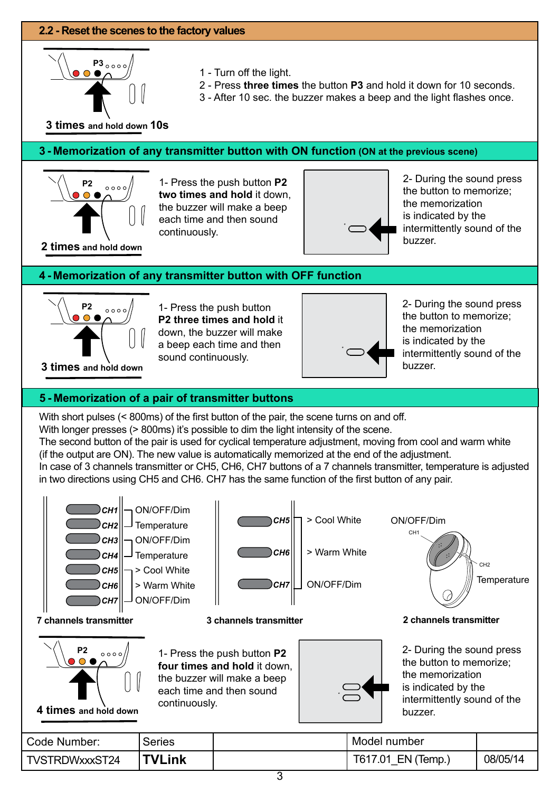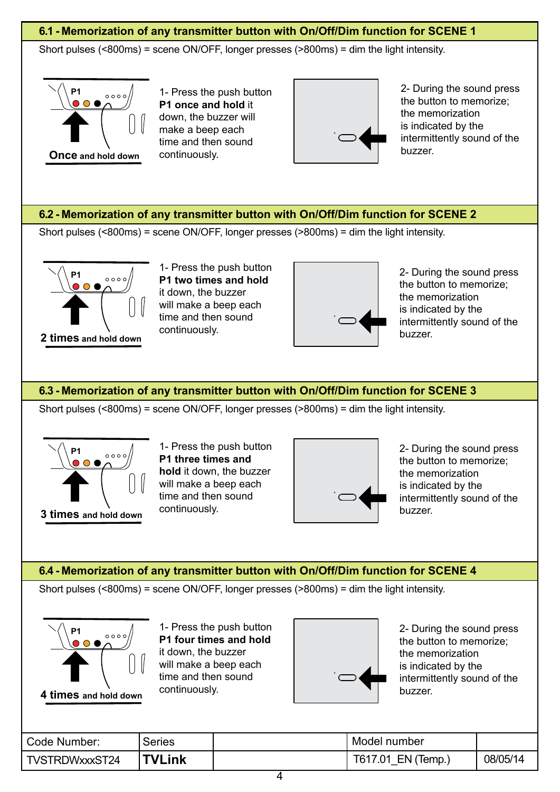## **6.1 - Memorization of any transmitter button with On/Off/Dim function for SCENE 1**

Short pulses (<800ms) = scene ON/OFF, longer presses (>800ms) = dim the light intensity.



1- Press the push button **P1 once and hold** it down, the buzzer will make a beep each time and then sound continuously.



2- During the sound press the button to memorize; the memorization is indicated by the intermittently sound of the buzzer.

### **6.2 - Memorization of any transmitter button with On/Off/Dim function for SCENE 2**

Short pulses (<800ms) = scene ON/OFF, longer presses (>800ms) = dim the light intensity.



1- Press the push button **P1 two times and hold** it down, the buzzer will make a beep each time and then sound continuously.



2- During the sound press the button to memorize; the memorization is indicated by the intermittently sound of the

### **6.3 - Memorization of any transmitter button with On/Off/Dim function for SCENE 3**

Short pulses (<800ms) = scene ON/OFF, longer presses (>800ms) = dim the light intensity.



1- Press the push button **P1 three times and hold** it down, the buzzer will make a beep each time and then sound continuously.



2- During the sound press the button to memorize; the memorization is indicated by the intermittently sound of the

#### **6.4 - Memorization of any transmitter button with On/Off/Dim function for SCENE 4**

Short pulses (<800ms) = scene ON/OFF, longer presses (>800ms) = dim the light intensity.



1- Press the push button **P1 four times and hold** it down, the buzzer will make a beep each time and then sound continuously.



2- During the sound press the button to memorize; the memorization is indicated by the intermittently sound of the

| Code Number:   | Series | Model number       |          |
|----------------|--------|--------------------|----------|
| TVSTRDWxxxST24 | TVLink | T617.01 EN (Temp., | 08/05/14 |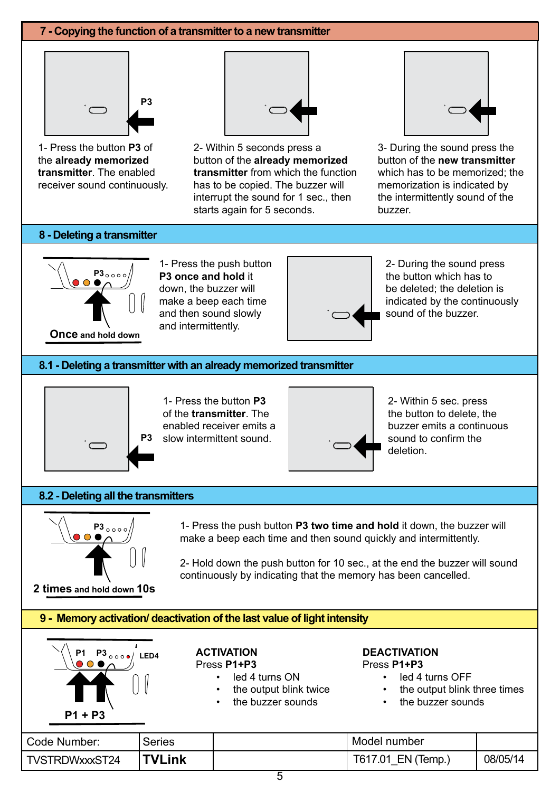#### **7 - Copying the function of a transmitter to a new transmitter**



1- Press the button **P3** of the **already memorized transmitter**. The enabled receiver sound continuously.



2- Within 5 seconds press a button of the **already memorized transmitter** from which the function has to be copied. The buzzer will interrupt the sound for 1 sec., then starts again for 5 seconds.



3- During the sound press the button of the **new transmitter**  which has to be memorized; the memorization is indicated by the intermittently sound of the buzzer.

#### **8 - Deleting a transmitter**



1- Press the push button **P3 once and hold** it down, the buzzer will make a beep each time and then sound slowly and intermittently.



2- During the sound press the button which has to be deleted; the deletion is indicated by the continuously sound of the buzzer.

#### **8.1 - Deleting a transmitter with an already memorized transmitter**



1- Press the button **P3** of the **transmitter**. The enabled receiver emits a **P3** slow intermittent sound.



2- Within 5 sec. press the button to delete, the buzzer emits a continuous sound to confirm the deletion.

#### **8.2 - Deleting all the transmitters**



**2 times and hold down 10s**

1- Press the push button **P3 two time and hold** it down, the buzzer will make a beep each time and then sound quickly and intermittently.

2- Hold down the push button for 10 sec., at the end the buzzer will sound continuously by indicating that the memory has been cancelled.

#### **9 - Memory activation/ deactivation of the last value of light intensity**

| P1 P3 $_{\circ\circ\circ\bullet/}$<br>LED4 | <b>ACTIVATION</b><br>Press P1+P3 |
|--------------------------------------------|----------------------------------|
|                                            | led 4                            |
|                                            | the of                           |
|                                            | the b                            |
| P1 + P3                                    |                                  |

Press **P1+P3**

- ed 4 turns ON
- he output blink twice
- the buzzer sounds

#### **DEACTIVATION** Press **P1+P3**

• led 4 turns OFF

- the output blink three times
- the buzzer sounds

| Code Number:   | Series        | Model number          |          |
|----------------|---------------|-----------------------|----------|
| TVSTRDWxxxST24 | <b>TVLink</b> | T617.01<br>EN (Temp.) | 08/05/14 |